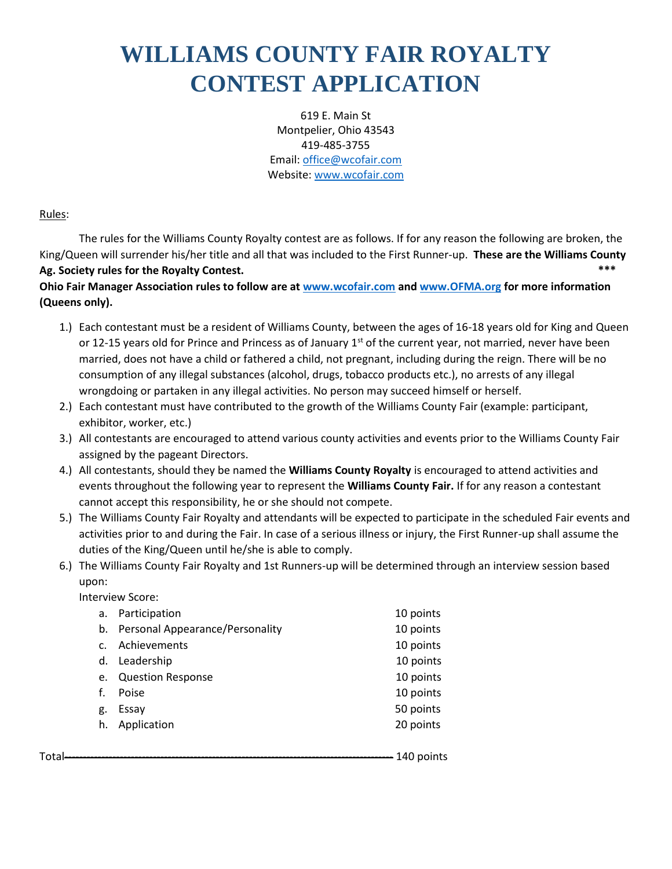# **WILLIAMS COUNTY FAIR ROYALTY CONTEST APPLICATION**

619 E. Main St Montpelier, Ohio 43543 419-485-3755 Email: [office@wcofair.com](mailto:office@wcofair.com) Website[: www.wcofair.com](http://www.wcofair.com/)

Rules:

The rules for the Williams County Royalty contest are as follows. If for any reason the following are broken, the King/Queen will surrender his/her title and all that was included to the First Runner-up. **These are the Williams County**  Ag. Society rules for the Royalty Contest.

**Ohio Fair Manager Association rules to follow are at [www.wcofair.com](http://www.wcofair.com/) an[d www.OFMA.org](http://www.ofma.org/) for more information (Queens only).**

- 1.) Each contestant must be a resident of Williams County, between the ages of 16-18 years old for King and Queen or 12-15 years old for Prince and Princess as of January 1<sup>st</sup> of the current year, not married, never have been married, does not have a child or fathered a child, not pregnant, including during the reign. There will be no consumption of any illegal substances (alcohol, drugs, tobacco products etc.), no arrests of any illegal wrongdoing or partaken in any illegal activities. No person may succeed himself or herself.
- 2.) Each contestant must have contributed to the growth of the Williams County Fair (example: participant, exhibitor, worker, etc.)
- 3.) All contestants are encouraged to attend various county activities and events prior to the Williams County Fair assigned by the pageant Directors.
- 4.) All contestants, should they be named the **Williams County Royalty** is encouraged to attend activities and events throughout the following year to represent the **Williams County Fair.** If for any reason a contestant cannot accept this responsibility, he or she should not compete.
- 5.) The Williams County Fair Royalty and attendants will be expected to participate in the scheduled Fair events and activities prior to and during the Fair. In case of a serious illness or injury, the First Runner-up shall assume the duties of the King/Queen until he/she is able to comply.
- 6.) The Williams County Fair Royalty and 1st Runners-up will be determined through an interview session based upon:

Interview Score:

| a. | Participation                      | 10 points                           |
|----|------------------------------------|-------------------------------------|
|    | b. Personal Appearance/Personality | 10 points                           |
| C. | Achievements                       | 10 points                           |
|    | d. Leadership                      | 10 points                           |
| e. | <b>Question Response</b>           | 10 points                           |
| f. | Poise                              | 10 points                           |
| g. | Essay                              | 50 points                           |
| h. | Application                        | 20 points                           |
|    |                                    |                                     |
|    |                                    | 140 points<br>--------------------- |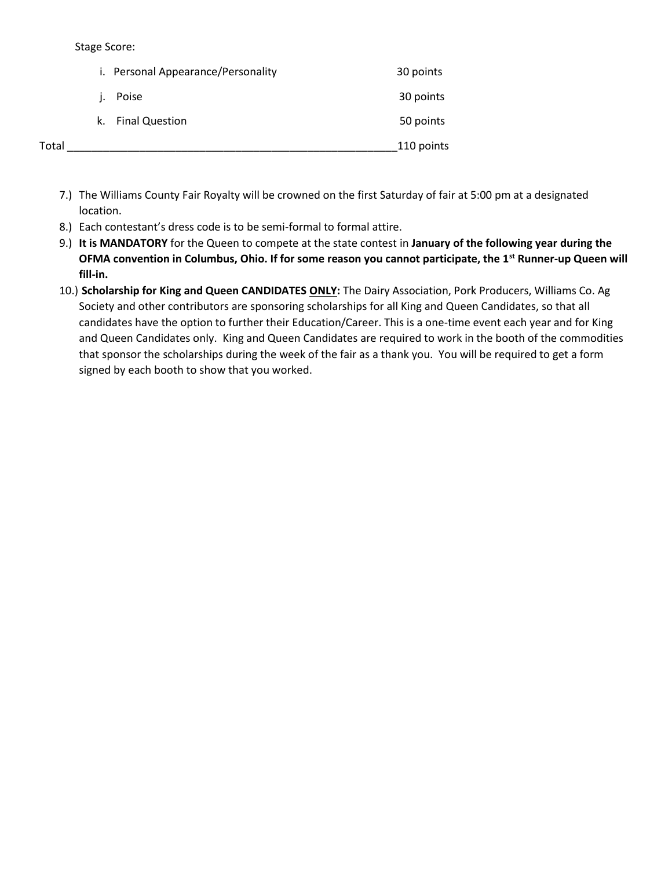Stage Score:

|       | i. Personal Appearance/Personality | 30 points  |
|-------|------------------------------------|------------|
|       | Poise                              | 30 points  |
|       | k. Final Question                  | 50 points  |
| Total |                                    | 110 points |

- 7.) The Williams County Fair Royalty will be crowned on the first Saturday of fair at 5:00 pm at a designated location.
- 8.) Each contestant's dress code is to be semi-formal to formal attire.
- 9.) **It is MANDATORY** for the Queen to compete at the state contest in **January of the following year during the OFMA convention in Columbus, Ohio. If for some reason you cannot participate, the 1st Runner-up Queen will fill-in.**
- 10.) **Scholarship for King and Queen CANDIDATES ONLY:** The Dairy Association, Pork Producers, Williams Co. Ag Society and other contributors are sponsoring scholarships for all King and Queen Candidates, so that all candidates have the option to further their Education/Career. This is a one-time event each year and for King and Queen Candidates only. King and Queen Candidates are required to work in the booth of the commodities that sponsor the scholarships during the week of the fair as a thank you. You will be required to get a form signed by each booth to show that you worked.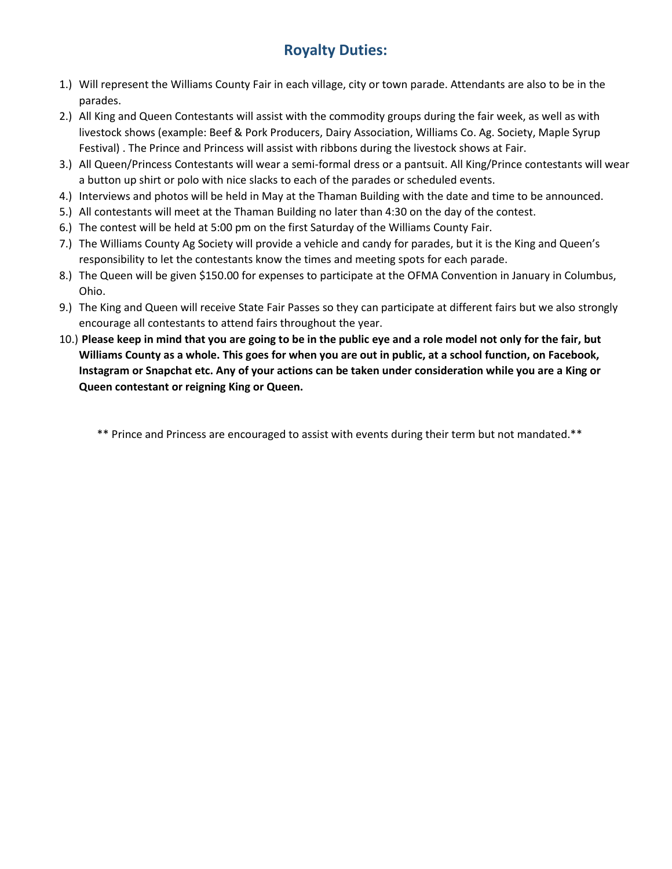### **Royalty Duties:**

- 1.) Will represent the Williams County Fair in each village, city or town parade. Attendants are also to be in the parades.
- 2.) All King and Queen Contestants will assist with the commodity groups during the fair week, as well as with livestock shows (example: Beef & Pork Producers, Dairy Association, Williams Co. Ag. Society, Maple Syrup Festival) . The Prince and Princess will assist with ribbons during the livestock shows at Fair.
- 3.) All Queen/Princess Contestants will wear a semi-formal dress or a pantsuit. All King/Prince contestants will wear a button up shirt or polo with nice slacks to each of the parades or scheduled events.
- 4.) Interviews and photos will be held in May at the Thaman Building with the date and time to be announced.
- 5.) All contestants will meet at the Thaman Building no later than 4:30 on the day of the contest.
- 6.) The contest will be held at 5:00 pm on the first Saturday of the Williams County Fair.
- 7.) The Williams County Ag Society will provide a vehicle and candy for parades, but it is the King and Queen's responsibility to let the contestants know the times and meeting spots for each parade.
- 8.) The Queen will be given \$150.00 for expenses to participate at the OFMA Convention in January in Columbus, Ohio.
- 9.) The King and Queen will receive State Fair Passes so they can participate at different fairs but we also strongly encourage all contestants to attend fairs throughout the year.
- 10.) **Please keep in mind that you are going to be in the public eye and a role model not only for the fair, but Williams County as a whole. This goes for when you are out in public, at a school function, on Facebook, Instagram or Snapchat etc. Any of your actions can be taken under consideration while you are a King or Queen contestant or reigning King or Queen.**

\*\* Prince and Princess are encouraged to assist with events during their term but not mandated.\*\*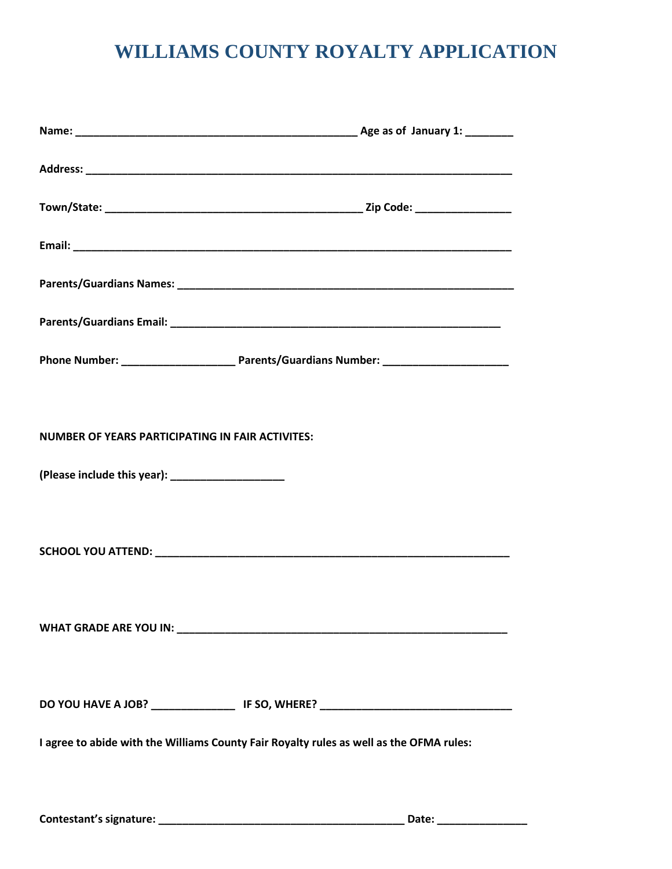## **WILLIAMS COUNTY ROYALTY APPLICATION**

| <b>NUMBER OF YEARS PARTICIPATING IN FAIR ACTIVITES:</b>                                 |  |  |  |  |  |
|-----------------------------------------------------------------------------------------|--|--|--|--|--|
| (Please include this year): _____________________                                       |  |  |  |  |  |
|                                                                                         |  |  |  |  |  |
|                                                                                         |  |  |  |  |  |
|                                                                                         |  |  |  |  |  |
|                                                                                         |  |  |  |  |  |
|                                                                                         |  |  |  |  |  |
|                                                                                         |  |  |  |  |  |
| I agree to abide with the Williams County Fair Royalty rules as well as the OFMA rules: |  |  |  |  |  |
|                                                                                         |  |  |  |  |  |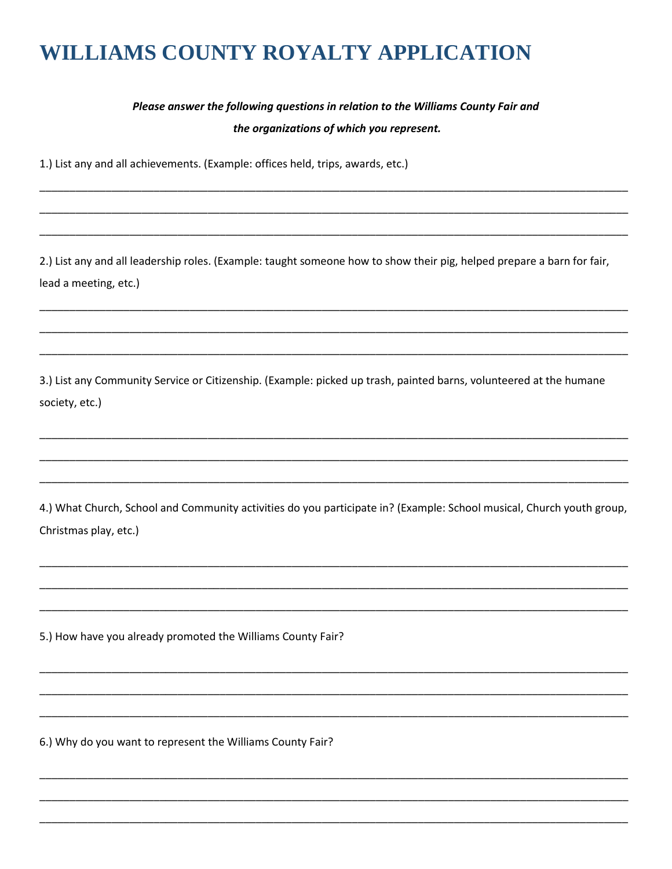## **WILLIAMS COUNTY ROYALTY APPLICATION**

### Please answer the following questions in relation to the Williams County Fair and the organizations of which you represent.

1.) List any and all achievements. (Example: offices held, trips, awards, etc.)

2.) List any and all leadership roles. (Example: taught someone how to show their pig, helped prepare a barn for fair, lead a meeting, etc.)

3.) List any Community Service or Citizenship. (Example: picked up trash, painted barns, volunteered at the humane society, etc.)

4.) What Church, School and Community activities do you participate in? (Example: School musical, Church youth group, Christmas play, etc.)

5.) How have you already promoted the Williams County Fair?

6.) Why do you want to represent the Williams County Fair?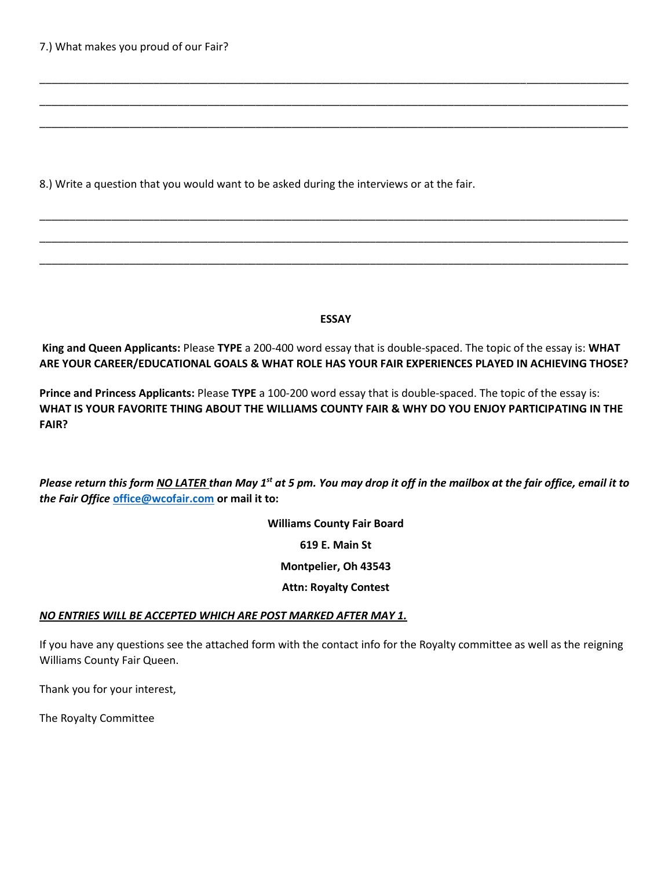7.) What makes you proud of our Fair?

8.) Write a question that you would want to be asked during the interviews or at the fair.

#### **ESSAY**

\_\_\_\_\_\_\_\_\_\_\_\_\_\_\_\_\_\_\_\_\_\_\_\_\_\_\_\_\_\_\_\_\_\_\_\_\_\_\_\_\_\_\_\_\_\_\_\_\_\_\_\_\_\_\_\_\_\_\_\_\_\_\_\_\_\_\_\_\_\_\_\_\_\_\_\_\_\_\_\_\_\_\_\_\_\_\_\_\_\_\_\_\_\_\_\_\_\_

\_\_\_\_\_\_\_\_\_\_\_\_\_\_\_\_\_\_\_\_\_\_\_\_\_\_\_\_\_\_\_\_\_\_\_\_\_\_\_\_\_\_\_\_\_\_\_\_\_\_\_\_\_\_\_\_\_\_\_\_\_\_\_\_\_\_\_\_\_\_\_\_\_\_\_\_\_\_\_\_\_\_\_\_\_\_\_\_\_\_\_\_\_\_\_\_\_\_

\_\_\_\_\_\_\_\_\_\_\_\_\_\_\_\_\_\_\_\_\_\_\_\_\_\_\_\_\_\_\_\_\_\_\_\_\_\_\_\_\_\_\_\_\_\_\_\_\_\_\_\_\_\_\_\_\_\_\_\_\_\_\_\_\_\_\_\_\_\_\_\_\_\_\_\_\_\_\_\_\_\_\_\_\_\_\_\_\_\_\_\_\_\_\_\_\_\_

\_\_\_\_\_\_\_\_\_\_\_\_\_\_\_\_\_\_\_\_\_\_\_\_\_\_\_\_\_\_\_\_\_\_\_\_\_\_\_\_\_\_\_\_\_\_\_\_\_\_\_\_\_\_\_\_\_\_\_\_\_\_\_\_\_\_\_\_\_\_\_\_\_\_\_\_\_\_\_\_\_\_\_\_\_\_\_\_\_\_\_\_\_\_\_\_\_\_

\_\_\_\_\_\_\_\_\_\_\_\_\_\_\_\_\_\_\_\_\_\_\_\_\_\_\_\_\_\_\_\_\_\_\_\_\_\_\_\_\_\_\_\_\_\_\_\_\_\_\_\_\_\_\_\_\_\_\_\_\_\_\_\_\_\_\_\_\_\_\_\_\_\_\_\_\_\_\_\_\_\_\_\_\_\_\_\_\_\_\_\_\_\_\_\_\_\_

\_\_\_\_\_\_\_\_\_\_\_\_\_\_\_\_\_\_\_\_\_\_\_\_\_\_\_\_\_\_\_\_\_\_\_\_\_\_\_\_\_\_\_\_\_\_\_\_\_\_\_\_\_\_\_\_\_\_\_\_\_\_\_\_\_\_\_\_\_\_\_\_\_\_\_\_\_\_\_\_\_\_\_\_\_\_\_\_\_\_\_\_\_\_\_\_\_\_

**King and Queen Applicants:** Please **TYPE** a 200-400 word essay that is double-spaced. The topic of the essay is: **WHAT ARE YOUR CAREER/EDUCATIONAL GOALS & WHAT ROLE HAS YOUR FAIR EXPERIENCES PLAYED IN ACHIEVING THOSE?**

**Prince and Princess Applicants:** Please **TYPE** a 100-200 word essay that is double-spaced. The topic of the essay is: **WHAT IS YOUR FAVORITE THING ABOUT THE WILLIAMS COUNTY FAIR & WHY DO YOU ENJOY PARTICIPATING IN THE FAIR?**

*Please return this form NO LATER than May 1st at 5 pm. You may drop it off in the mailbox at the fair office, email it to the Fair Office* **[office@wcofair.com](mailto:office@wcofair.com) or mail it to:**

#### **Williams County Fair Board**

#### **619 E. Main St**

#### **Montpelier, Oh 43543**

#### **Attn: Royalty Contest**

#### *NO ENTRIES WILL BE ACCEPTED WHICH ARE POST MARKED AFTER MAY 1.*

If you have any questions see the attached form with the contact info for the Royalty committee as well as the reigning Williams County Fair Queen.

Thank you for your interest,

The Royalty Committee